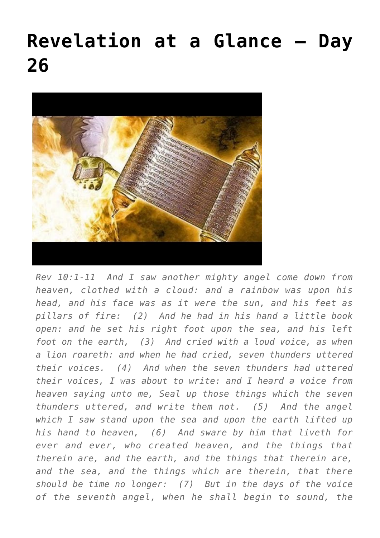## **[Revelation at a Glance – Day](https://maranatha.earnestlycontending.com/2022/06/17/revelation-at-a-glance-day-26/) [26](https://maranatha.earnestlycontending.com/2022/06/17/revelation-at-a-glance-day-26/)**



*Rev 10:1-11 And I saw another mighty angel come down from heaven, clothed with a cloud: and a rainbow was upon his head, and his face was as it were the sun, and his feet as pillars of fire: (2) And he had in his hand a little book open: and he set his right foot upon the sea, and his left foot on the earth, (3) And cried with a loud voice, as when a lion roareth: and when he had cried, seven thunders uttered their voices. (4) And when the seven thunders had uttered their voices, I was about to write: and I heard a voice from heaven saying unto me, Seal up those things which the seven thunders uttered, and write them not. (5) And the angel which I saw stand upon the sea and upon the earth lifted up his hand to heaven, (6) And sware by him that liveth for ever and ever, who created heaven, and the things that therein are, and the earth, and the things that therein are, and the sea, and the things which are therein, that there should be time no longer: (7) But in the days of the voice of the seventh angel, when he shall begin to sound, the*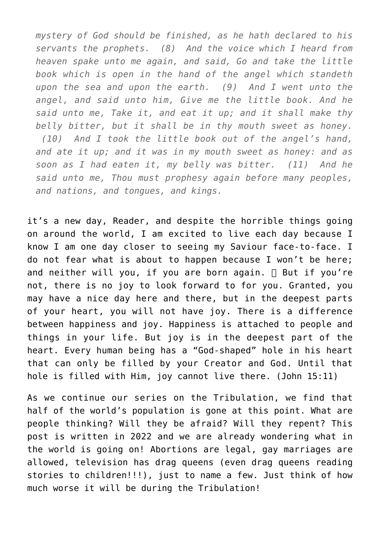*mystery of God should be finished, as he hath declared to his servants the prophets. (8) And the voice which I heard from heaven spake unto me again, and said, Go and take the little book which is open in the hand of the angel which standeth upon the sea and upon the earth. (9) And I went unto the angel, and said unto him, Give me the little book. And he said unto me, Take it, and eat it up; and it shall make thy belly bitter, but it shall be in thy mouth sweet as honey. (10) And I took the little book out of the angel's hand, and ate it up; and it was in my mouth sweet as honey: and as soon as I had eaten it, my belly was bitter. (11) And he said unto me, Thou must prophesy again before many peoples, and nations, and tongues, and kings.*

it's a new day, Reader, and despite the horrible things going on around the world, I am excited to live each day because I know I am one day closer to seeing my Saviour face-to-face. I do not fear what is about to happen because I won't be here; and neither will you, if you are born again.  $\Box$  But if you're not, there is no joy to look forward to for you. Granted, you may have a nice day here and there, but in the deepest parts of your heart, you will not have joy. There is a difference between happiness and joy. Happiness is attached to people and things in your life. But joy is in the deepest part of the heart. Every human being has a "God-shaped" hole in his heart that can only be filled by your Creator and God. Until that hole is filled with Him, joy cannot live there. (John 15:11)

As we continue our series on the Tribulation, we find that half of the world's population is gone at this point. What are people thinking? Will they be afraid? Will they repent? This post is written in 2022 and we are already wondering what in the world is going on! Abortions are legal, gay marriages are allowed, television has drag queens (even drag queens reading stories to children!!!), just to name a few. Just think of how much worse it will be during the Tribulation!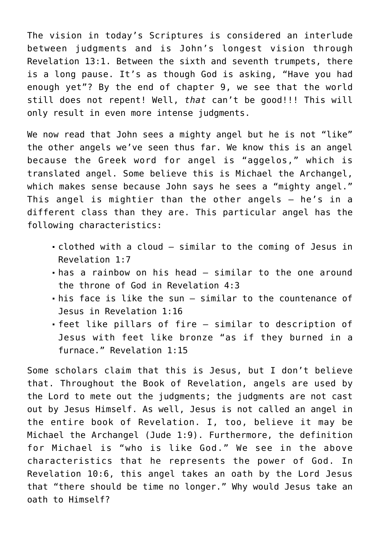The vision in today's Scriptures is considered an interlude between judgments and is John's longest vision through Revelation 13:1. Between the sixth and seventh trumpets, there is a long pause. It's as though God is asking, "Have you had enough yet"? By the end of chapter 9, we see that the world still does not repent! Well, *that* can't be good!!! This will only result in even more intense judgments.

We now read that John sees a mighty angel but he is not "like" the other angels we've seen thus far. We know this is an angel because the Greek word for angel is "aggelos," which is translated angel. Some believe this is Michael the Archangel, which makes sense because John says he sees a "mighty angel." This angel is mightier than the other angels – he's in a different class than they are. This particular angel has the following characteristics:

- clothed with a cloud similar to the coming of Jesus in Revelation 1:7
- has a rainbow on his head similar to the one around the throne of God in Revelation 4:3
- his face is like the sun similar to the countenance of Jesus in Revelation 1:16
- feet like pillars of fire similar to description of Jesus with feet like bronze "as if they burned in a furnace." Revelation 1:15

Some scholars claim that this is Jesus, but I don't believe that. Throughout the Book of Revelation, angels are used by the Lord to mete out the judgments; the judgments are not cast out by Jesus Himself. As well, Jesus is not called an angel in the entire book of Revelation. I, too, believe it may be Michael the Archangel (Jude 1:9). Furthermore, the definition for Michael is "who is like God." We see in the above characteristics that he represents the power of God. In Revelation 10:6, this angel takes an oath by the Lord Jesus that "there should be time no longer." Why would Jesus take an oath to Himself?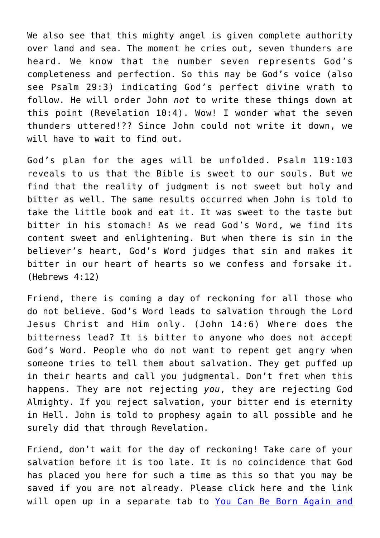We also see that this mighty angel is given complete authority over land and sea. The moment he cries out, seven thunders are heard. We know that the number seven represents God's completeness and perfection. So this may be God's voice (also see Psalm 29:3) indicating God's perfect divine wrath to follow. He will order John *not* to write these things down at this point (Revelation 10:4). Wow! I wonder what the seven thunders uttered!?? Since John could not write it down, we will have to wait to find out.

God's plan for the ages will be unfolded. Psalm 119:103 reveals to us that the Bible is sweet to our souls. But we find that the reality of judgment is not sweet but holy and bitter as well. The same results occurred when John is told to take the little book and eat it. It was sweet to the taste but bitter in his stomach! As we read God's Word, we find its content sweet and enlightening. But when there is sin in the believer's heart, God's Word judges that sin and makes it bitter in our heart of hearts so we confess and forsake it. (Hebrews 4:12)

Friend, there is coming a day of reckoning for all those who do not believe. God's Word leads to salvation through the Lord Jesus Christ and Him only. (John 14:6) Where does the bitterness lead? It is bitter to anyone who does not accept God's Word. People who do not want to repent get angry when someone tries to tell them about salvation. They get puffed up in their hearts and call you judgmental. Don't fret when this happens. They are not rejecting *you*, they are rejecting God Almighty. If you reject salvation, your bitter end is eternity in Hell. John is told to prophesy again to all possible and he surely did that through Revelation.

Friend, don't wait for the day of reckoning! Take care of your salvation before it is too late. It is no coincidence that God has placed you here for such a time as this so that you may be saved if you are not already. Please click here and the link will open up in a separate tab to [You Can Be Born Again and](https://maranatha.earnestlycontending.com/contact/)